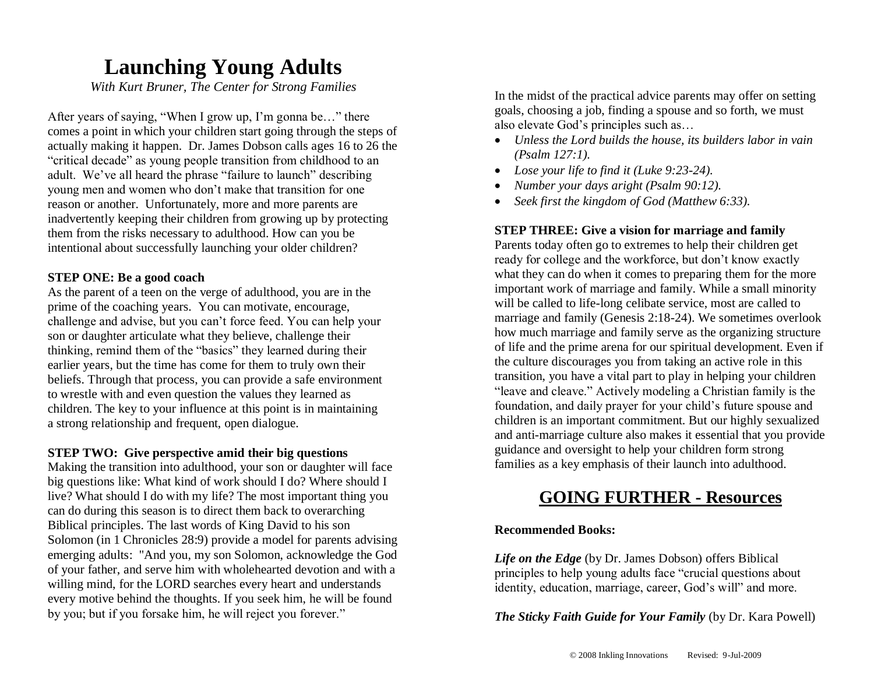## **Launching Young Adults**

*With Kurt Bruner, The Center for Strong Families*

After years of saying, "When I grow up, I'm gonna be…" there comes a point in which your children start going through the steps of actually making it happen. Dr. James Dobson calls ages 16 to 26 the "critical decade" as young people transition from childhood to an adult. We've all heard the phrase "failure to launch" describing young men and women who don't make that transition for one reason or another. Unfortunately, more and more parents are inadvertently keeping their children from growing up by protecting them from the risks necessary to adulthood. How can you be intentional about successfully launching your older children?

#### **STEP ONE: Be a good coach**

As the parent of a teen on the verge of adulthood, you are in the prime of the coaching years. You can motivate, encourage, challenge and advise, but you can't force feed. You can help your son or daughter articulate what they believe, challenge their thinking, remind them of the "basics" they learned during their earlier years, but the time has come for them to truly own their beliefs. Through that process, you can provide a safe environment to wrestle with and even question the values they learned as children. The key to your influence at this point is in maintaining a strong relationship and frequent, open dialogue.

#### **STEP TWO: Give perspective amid their big questions**

Making the transition into adulthood, your son or daughter will face big questions like: What kind of work should I do? Where should I live? What should I do with my life? The most important thing you can do during this season is to direct them back to overarching Biblical principles. The last words of King David to his son Solomon (in 1 Chronicles 28:9) provide a model for parents advising emerging adults: "And you, my son Solomon, acknowledge the God of your father, and serve him with wholehearted devotion and with a willing mind, for the LORD searches every heart and understands every motive behind the thoughts. If you seek him, he will be found by you; but if you forsake him, he will reject you forever."

In the midst of the practical advice parents may offer on setting goals, choosing a job, finding a spouse and so forth, we must also elevate God's principles such as…

- *Unless the Lord builds the house, its builders labor in vain (Psalm 127:1).*
- *Lose your life to find it (Luke 9:23-24).*
- *Number your days aright (Psalm 90:12).*
- *Seek first the kingdom of God (Matthew 6:33).*

#### **STEP THREE: Give a vision for marriage and family**

Parents today often go to extremes to help their children get ready for college and the workforce, but don't know exactly what they can do when it comes to preparing them for the more important work of marriage and family. While a small minority will be called to life-long celibate service, most are called to marriage and family (Genesis 2:18-24). We sometimes overlook how much marriage and family serve as the organizing structure of life and the prime arena for our spiritual development. Even if the culture discourages you from taking an active role in this transition, you have a vital part to play in helping your children "leave and cleave." Actively modeling a Christian family is the foundation, and daily prayer for your child's future spouse and children is an important commitment. But our highly sexualized and anti-marriage culture also makes it essential that you provide guidance and oversight to help your children form strong families as a key emphasis of their launch into adulthood.

### **GOING FURTHER - Resources**

#### **Recommended Books:**

*Life on the Edge* (by Dr. James Dobson) offers Biblical principles to help young adults face "crucial questions about identity, education, marriage, career, God's will" and more.

*The Sticky Faith Guide for Your Family* (by Dr. Kara Powell)